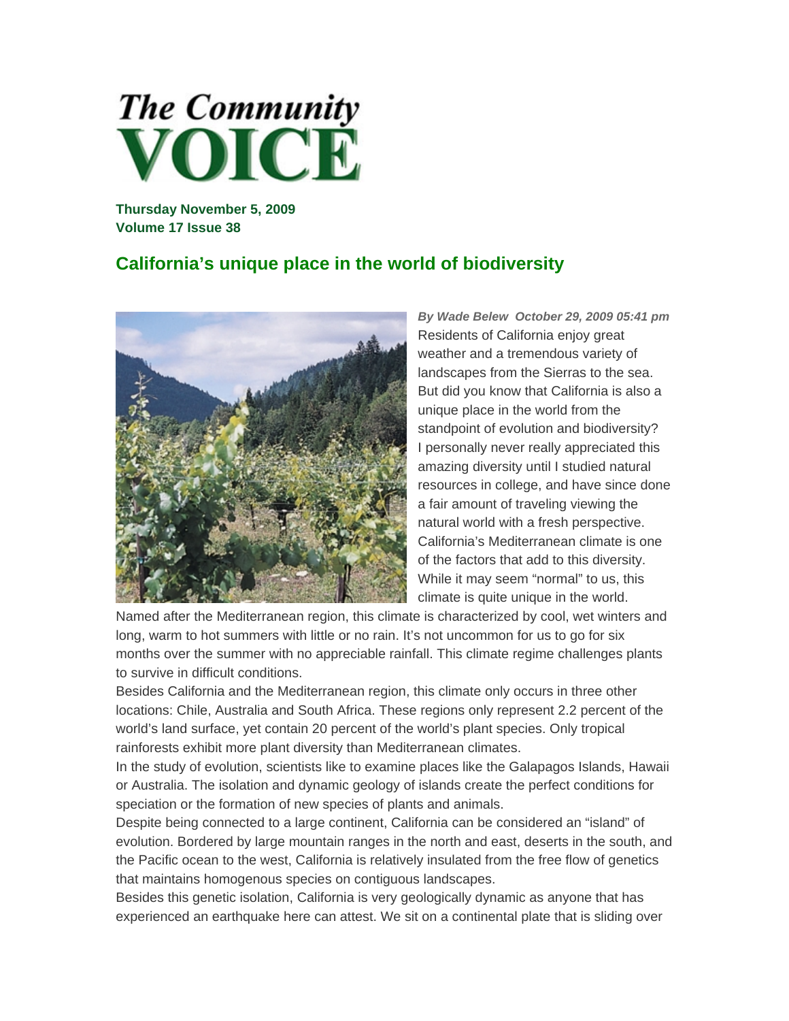

**Thursday November 5, 2009 Volume 17 Issue 38** 

## **California's unique place in the world of biodiversity**



*By Wade Belew October 29, 2009 05:41 pm* Residents of California enjoy great weather and a tremendous variety of landscapes from the Sierras to the sea. But did you know that California is also a unique place in the world from the standpoint of evolution and biodiversity? I personally never really appreciated this amazing diversity until I studied natural resources in college, and have since done a fair amount of traveling viewing the natural world with a fresh perspective. California's Mediterranean climate is one of the factors that add to this diversity. While it may seem "normal" to us, this climate is quite unique in the world.

Named after the Mediterranean region, this climate is characterized by cool, wet winters and long, warm to hot summers with little or no rain. It's not uncommon for us to go for six months over the summer with no appreciable rainfall. This climate regime challenges plants to survive in difficult conditions.

Besides California and the Mediterranean region, this climate only occurs in three other locations: Chile, Australia and South Africa. These regions only represent 2.2 percent of the world's land surface, yet contain 20 percent of the world's plant species. Only tropical rainforests exhibit more plant diversity than Mediterranean climates.

In the study of evolution, scientists like to examine places like the Galapagos Islands, Hawaii or Australia. The isolation and dynamic geology of islands create the perfect conditions for speciation or the formation of new species of plants and animals.

Despite being connected to a large continent, California can be considered an "island" of evolution. Bordered by large mountain ranges in the north and east, deserts in the south, and the Pacific ocean to the west, California is relatively insulated from the free flow of genetics that maintains homogenous species on contiguous landscapes.

Besides this genetic isolation, California is very geologically dynamic as anyone that has experienced an earthquake here can attest. We sit on a continental plate that is sliding over